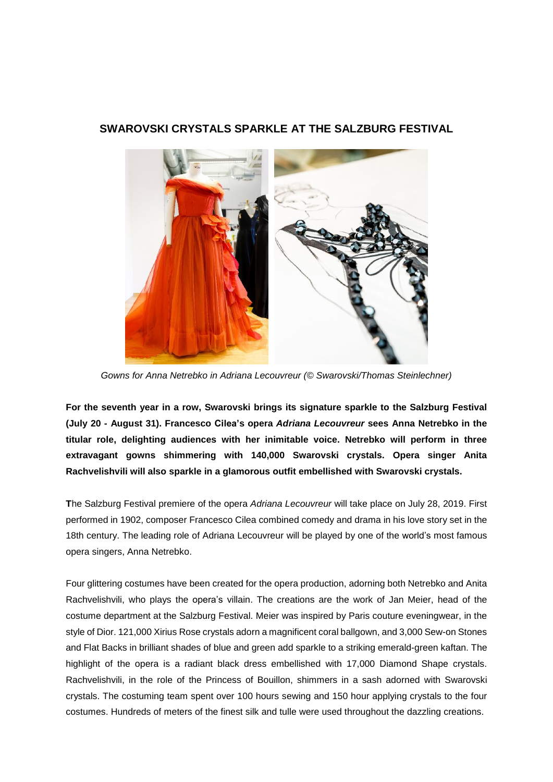## **SWAROVSKI CRYSTALS SPARKLE AT THE SALZBURG FESTIVAL**



*Gowns for Anna Netrebko in Adriana Lecouvreur (© Swarovski/Thomas Steinlechner)*

**For the seventh year in a row, Swarovski brings its signature sparkle to the Salzburg Festival (July 20 - August 31). Francesco Cilea's opera** *Adriana Lecouvreur* **sees Anna Netrebko in the titular role, delighting audiences with her inimitable voice. Netrebko will perform in three extravagant gowns shimmering with 140,000 Swarovski crystals. Opera singer Anita Rachvelishvili will also sparkle in a glamorous outfit embellished with Swarovski crystals.**

**T**he Salzburg Festival premiere of the opera *Adriana Lecouvreur* will take place on July 28, 2019. First performed in 1902, composer Francesco Cilea combined comedy and drama in his love story set in the 18th century. The leading role of Adriana Lecouvreur will be played by one of the world's most famous opera singers, Anna Netrebko.

Four glittering costumes have been created for the opera production, adorning both Netrebko and Anita Rachvelishvili, who plays the opera's villain. The creations are the work of Jan Meier, head of the costume department at the Salzburg Festival. Meier was inspired by Paris couture eveningwear, in the style of Dior. 121,000 Xirius Rose crystals adorn a magnificent coral ballgown, and 3,000 Sew-on Stones and Flat Backs in brilliant shades of blue and green add sparkle to a striking emerald-green kaftan. The highlight of the opera is a radiant black dress embellished with 17,000 Diamond Shape crystals. Rachvelishvili, in the role of the Princess of Bouillon, shimmers in a sash adorned with Swarovski crystals. The costuming team spent over 100 hours sewing and 150 hour applying crystals to the four costumes. Hundreds of meters of the finest silk and tulle were used throughout the dazzling creations.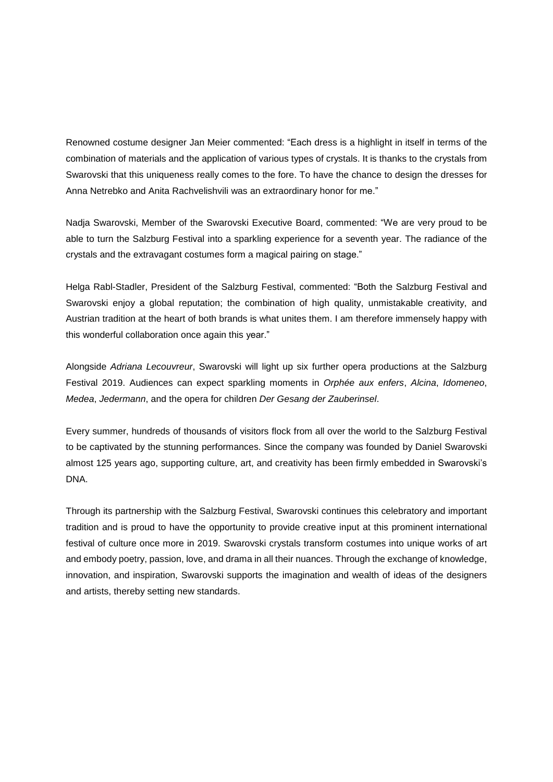Renowned costume designer Jan Meier commented: "Each dress is a highlight in itself in terms of the combination of materials and the application of various types of crystals. It is thanks to the crystals from Swarovski that this uniqueness really comes to the fore. To have the chance to design the dresses for Anna Netrebko and Anita Rachvelishvili was an extraordinary honor for me."

Nadja Swarovski, Member of the Swarovski Executive Board, commented: "We are very proud to be able to turn the Salzburg Festival into a sparkling experience for a seventh year. The radiance of the crystals and the extravagant costumes form a magical pairing on stage."

Helga Rabl-Stadler, President of the Salzburg Festival, commented: "Both the Salzburg Festival and Swarovski enjoy a global reputation; the combination of high quality, unmistakable creativity, and Austrian tradition at the heart of both brands is what unites them. I am therefore immensely happy with this wonderful collaboration once again this year."

Alongside *Adriana Lecouvreur*, Swarovski will light up six further opera productions at the Salzburg Festival 2019. Audiences can expect sparkling moments in *Orphée aux enfers*, *Alcina*, *Idomeneo*, *Medea*, *Jedermann*, and the opera for children *Der Gesang der Zauberinsel*.

Every summer, hundreds of thousands of visitors flock from all over the world to the Salzburg Festival to be captivated by the stunning performances. Since the company was founded by Daniel Swarovski almost 125 years ago, supporting culture, art, and creativity has been firmly embedded in Swarovski's DNA.

Through its partnership with the Salzburg Festival, Swarovski continues this celebratory and important tradition and is proud to have the opportunity to provide creative input at this prominent international festival of culture once more in 2019. Swarovski crystals transform costumes into unique works of art and embody poetry, passion, love, and drama in all their nuances. Through the exchange of knowledge, innovation, and inspiration, Swarovski supports the imagination and wealth of ideas of the designers and artists, thereby setting new standards.